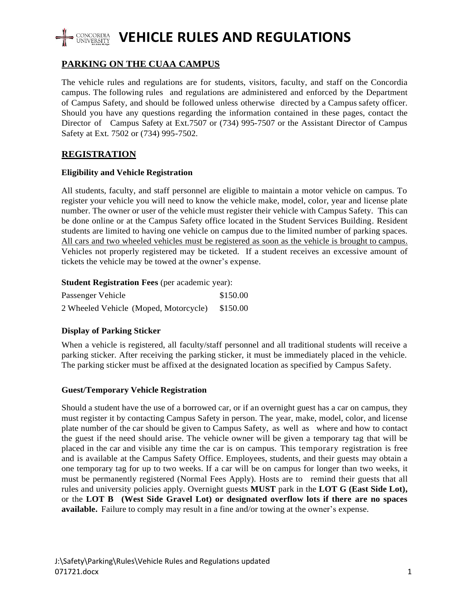

# **PARKING ON THE CUAA CAMPUS**

The vehicle rules and regulations are for students, visitors, faculty, and staff on the Concordia campus. The following rules and regulations are administered and enforced by the Department of Campus Safety, and should be followed unless otherwise directed by a Campus safety officer. Should you have any questions regarding the information contained in these pages, contact the Director of Campus Safety at Ext.7507 or (734) 995-7507 or the Assistant Director of Campus Safety at Ext. 7502 or (734) 995-7502.

# **REGISTRATION**

### **Eligibility and Vehicle Registration**

All students, faculty, and staff personnel are eligible to maintain a motor vehicle on campus. To register your vehicle you will need to know the vehicle make, model, color, year and license plate number. The owner or user of the vehicle must register their vehicle with Campus Safety. This can be done online or at the Campus Safety office located in the Student Services Building. Resident students are limited to having one vehicle on campus due to the limited number of parking spaces. All cars and two wheeled vehicles must be registered as soon as the vehicle is brought to campus. Vehicles not properly registered may be ticketed. If a student receives an excessive amount of tickets the vehicle may be towed at the owner's expense.

#### **Student Registration Fees** (per academic year):

| Passenger Vehicle                     | \$150.00 |
|---------------------------------------|----------|
| 2 Wheeled Vehicle (Moped, Motorcycle) | \$150.00 |

#### **Display of Parking Sticker**

When a vehicle is registered, all faculty/staff personnel and all traditional students will receive a parking sticker. After receiving the parking sticker, it must be immediately placed in the vehicle. The parking sticker must be affixed at the designated location as specified by Campus Safety.

## **Guest/Temporary Vehicle Registration**

Should a student have the use of a borrowed car, or if an overnight guest has a car on campus, they must register it by contacting Campus Safety in person. The year, make, model, color, and license plate number of the car should be given to Campus Safety, as well as where and how to contact the guest if the need should arise. The vehicle owner will be given a temporary tag that will be placed in the car and visible any time the car is on campus. This temporary registration is free and is available at the Campus Safety Office. Employees, students, and their guests may obtain a one temporary tag for up to two weeks. If a car will be on campus for longer than two weeks, it must be permanently registered (Normal Fees Apply). Hosts are to remind their guests that all rules and university policies apply. Overnight guests **MUST** park in the **LOT G (East Side Lot),** or the **LOT B (West Side Gravel Lot) or designated overflow lots if there are no spaces available.** Failure to comply may result in a fine and/or towing at the owner's expense.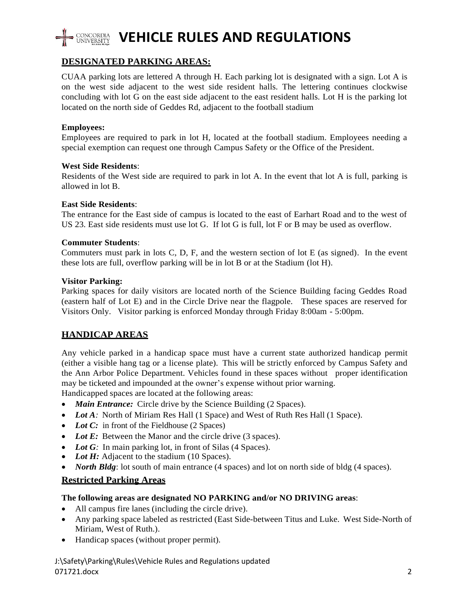

# **VEHICLE RULES AND REGULATIONS**

# **DESIGNATED PARKING AREAS:**

CUAA parking lots are lettered A through H. Each parking lot is designated with a sign. Lot A is on the west side adjacent to the west side resident halls. The lettering continues clockwise concluding with lot G on the east side adjacent to the east resident halls. Lot H is the parking lot located on the north side of Geddes Rd, adjacent to the football stadium

### **Employees:**

Employees are required to park in lot H, located at the football stadium. Employees needing a special exemption can request one through Campus Safety or the Office of the President.

#### **West Side Residents**:

Residents of the West side are required to park in lot A. In the event that lot A is full, parking is allowed in lot B.

#### **East Side Residents**:

The entrance for the East side of campus is located to the east of Earhart Road and to the west of US 23. East side residents must use lot G. If lot G is full, lot F or B may be used as overflow.

#### **Commuter Students**:

Commuters must park in lots C, D, F, and the western section of lot E (as signed). In the event these lots are full, overflow parking will be in lot B or at the Stadium (lot H).

#### **Visitor Parking:**

Parking spaces for daily visitors are located north of the Science Building facing Geddes Road (eastern half of Lot E) and in the Circle Drive near the flagpole. These spaces are reserved for Visitors Only. Visitor parking is enforced Monday through Friday 8:00am - 5:00pm.

## **HANDICAP AREAS**

Any vehicle parked in a handicap space must have a current state authorized handicap permit (either a visible hang tag or a license plate). This will be strictly enforced by Campus Safety and the Ann Arbor Police Department. Vehicles found in these spaces without proper identification may be ticketed and impounded at the owner's expense without prior warning.

Handicapped spaces are located at the following areas:

- *Main Entrance:* Circle drive by the Science Building (2 Spaces).
- Lot A: North of Miriam Res Hall (1 Space) and West of Ruth Res Hall (1 Space).
- *Lot C:* in front of the Fieldhouse (2 Spaces)
- Lot E: Between the Manor and the circle drive (3 spaces).
- *Lot G*: In main parking lot, in front of Silas (4 Spaces).
- *Lot H:* Adjacent to the stadium (10 Spaces).
- *North Bldg*: lot south of main entrance (4 spaces) and lot on north side of bldg (4 spaces).

#### **Restricted Parking Areas**

#### **The following areas are designated NO PARKING and/or NO DRIVING areas**:

- All campus fire lanes (including the circle drive).
- Any parking space labeled as restricted (East Side-between Titus and Luke. West Side-North of Miriam, West of Ruth.).
- Handicap spaces (without proper permit).

J:\Safety\Parking\Rules\Vehicle Rules and Regulations updated 071721.docx 2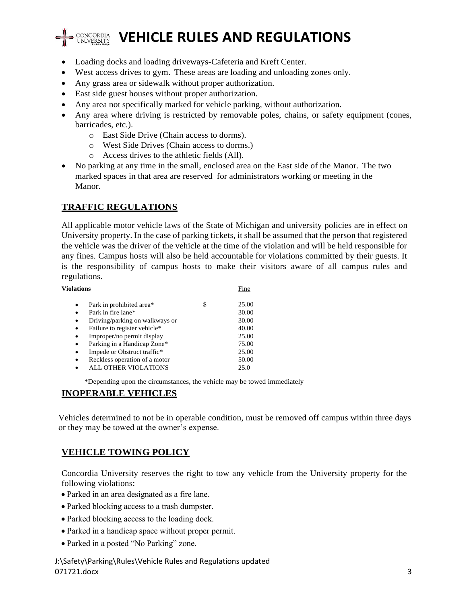

# **VEHICLE RULES AND REGULATIONS**

- Loading docks and loading driveways-Cafeteria and Kreft Center.
- West access drives to gym. These areas are loading and unloading zones only.
- Any grass area or sidewalk without proper authorization.
- East side guest houses without proper authorization.
- Any area not specifically marked for vehicle parking, without authorization.
- Any area where driving is restricted by removable poles, chains, or safety equipment (cones, barricades, etc.).
	- o East Side Drive (Chain access to dorms).
	- o West Side Drives (Chain access to dorms.)
	- o Access drives to the athletic fields (All).
- No parking at any time in the small, enclosed area on the East side of the Manor. The two marked spaces in that area are reserved for administrators working or meeting in the Manor.

# **TRAFFIC REGULATIONS**

All applicable motor vehicle laws of the State of Michigan and university policies are in effect on University property. In the case of parking tickets, it shall be assumed that the person that registered the vehicle was the driver of the vehicle at the time of the violation and will be held responsible for any fines. Campus hosts will also be held accountable for violations committed by their guests. It is the responsibility of campus hosts to make their visitors aware of all campus rules and regulations.

| <b>Violations</b> |                                | Fine |       |
|-------------------|--------------------------------|------|-------|
| ٠                 | Park in prohibited area*       | \$   | 25.00 |
| ٠                 | Park in fire lane*             |      | 30.00 |
| ٠                 | Driving/parking on walkways or |      | 30.00 |
| ٠                 | Failure to register vehicle*   |      | 40.00 |
| ٠                 | Improper/no permit display     |      | 25.00 |
| ٠                 | Parking in a Handicap Zone*    |      | 75.00 |
| ٠                 | Impede or Obstruct traffic*    |      | 25.00 |
| ٠                 | Reckless operation of a motor  |      | 50.00 |
|                   | ALL OTHER VIOLATIONS           |      | 25.0  |

\*Depending upon the circumstances, the vehicle may be towed immediately

## **INOPERABLE VEHICLES**

Vehicles determined to not be in operable condition, must be removed off campus within three days or they may be towed at the owner's expense.

# **VEHICLE TOWING POLICY**

Concordia University reserves the right to tow any vehicle from the University property for the following violations:

- Parked in an area designated as a fire lane.
- Parked blocking access to a trash dumpster.
- Parked blocking access to the loading dock.
- Parked in a handicap space without proper permit.
- Parked in a posted "No Parking" zone.

J:\Safety\Parking\Rules\Vehicle Rules and Regulations updated 071721.docx 3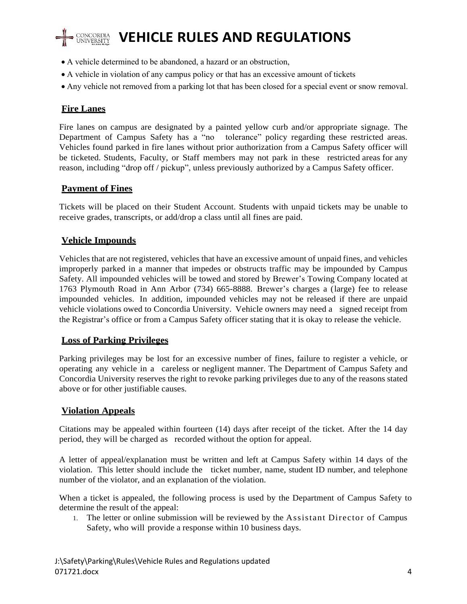

# **VEHICLE RULES AND REGULATIONS**

- A vehicle determined to be abandoned, a hazard or an obstruction,
- A vehicle in violation of any campus policy or that has an excessive amount of tickets
- Any vehicle not removed from a parking lot that has been closed for a special event or snow removal.

# **Fire Lanes**

Fire lanes on campus are designated by a painted yellow curb and/or appropriate signage. The Department of Campus Safety has a "no tolerance" policy regarding these restricted areas. Vehicles found parked in fire lanes without prior authorization from a Campus Safety officer will be ticketed. Students, Faculty, or Staff members may not park in these restricted areas for any reason, including "drop off / pickup", unless previously authorized by a Campus Safety officer.

## **Payment of Fines**

Tickets will be placed on their Student Account. Students with unpaid tickets may be unable to receive grades, transcripts, or add/drop a class until all fines are paid.

# **Vehicle Impounds**

Vehicles that are not registered, vehicles that have an excessive amount of unpaid fines, and vehicles improperly parked in a manner that impedes or obstructs traffic may be impounded by Campus Safety. All impounded vehicles will be towed and stored by Brewer's Towing Company located at 1763 Plymouth Road in Ann Arbor (734) 665-8888. Brewer's charges a (large) fee to release impounded vehicles. In addition, impounded vehicles may not be released if there are unpaid vehicle violations owed to Concordia University. Vehicle owners may need a signed receipt from the Registrar's office or from a Campus Safety officer stating that it is okay to release the vehicle.

## **Loss of Parking Privileges**

Parking privileges may be lost for an excessive number of fines, failure to register a vehicle, or operating any vehicle in a careless or negligent manner. The Department of Campus Safety and Concordia University reserves the right to revoke parking privileges due to any of the reasons stated above or for other justifiable causes.

## **Violation Appeals**

Citations may be appealed within fourteen (14) days after receipt of the ticket. After the 14 day period, they will be charged as recorded without the option for appeal.

A letter of appeal/explanation must be written and left at Campus Safety within 14 days of the violation. This letter should include the ticket number, name, student ID number, and telephone number of the violator, and an explanation of the violation.

When a ticket is appealed, the following process is used by the Department of Campus Safety to determine the result of the appeal:

1. The letter or online submission will be reviewed by the Assistant Director of Campus Safety, who will provide a response within 10 business days.